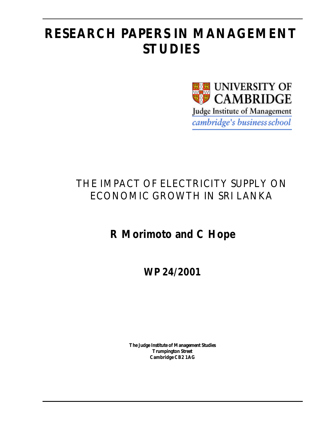## **RESEARCH PAPERS IN MANAGEMENT STUDIES**



## THE IMPACT OF ELECTRICITY SUPPLY ON ECONOMIC GROWTH IN SRI LANKA

## **R Morimoto and C Hope**

**WP 24/2001**

**The Judge Institute of Management Studies Trumpington Street Cambridge CB2 1AG**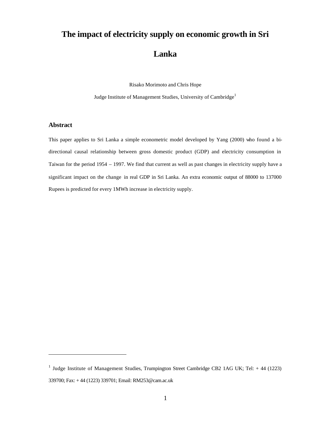# **The impact of electricity supply on economic growth in Sri**

### **Lanka**

Risako Morimoto and Chris Hope

Judge Institute of Management Studies, University of Cambridge<sup>1</sup>

#### **Abstract**

 $\overline{a}$ 

This paper applies to Sri Lanka a simple econometric model developed by Yang (2000) who found a bidirectional causal relationship between gross domestic product (GDP) and electricity consumption in Taiwan for the period 1954 – 1997. We find that current as well as past changes in electricity supply have a significant impact on the change in real GDP in Sri Lanka. An extra economic output of 88000 to 137000 Rupees is predicted for every 1MWh increase in electricity supply.

<sup>&</sup>lt;sup>1</sup> Judge Institute of Management Studies, Trumpington Street Cambridge CB2 1AG UK; Tel: + 44 (1223) 339700; Fax: + 44 (1223) 339701; Email: RM253@cam.ac.uk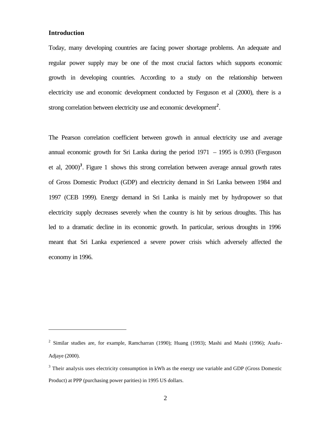#### **Introduction**

 $\overline{a}$ 

Today, many developing countries are facing power shortage problems. An adequate and regular power supply may be one of the most crucial factors which supports economic growth in developing countries. According to a study on the relationship between electricity use and economic development conducted by Ferguson et al (2000), there is a strong correlation between electricity use and economic development*<sup>2</sup>* .

The Pearson correlation coefficient between growth in annual electricity use and average annual economic growth for Sri Lanka during the period 1971 – 1995 is 0.993 (Ferguson et al, 2000)*<sup>3</sup>* . Figure 1 shows this strong correlation between average annual growth rates of Gross Domestic Product (GDP) and electricity demand in Sri Lanka between 1984 and 1997 (CEB 1999). Energy demand in Sri Lanka is mainly met by hydropower so that electricity supply decreases severely when the country is hit by serious droughts. This has led to a dramatic decline in its economic growth. In particular, serious droughts in 1996 meant that Sri Lanka experienced a severe power crisis which adversely affected the economy in 1996.

<sup>&</sup>lt;sup>2</sup> Similar studies are, for example, Ramcharran (1990); Huang (1993); Mashi and Mashi (1996); Asafu-Adjaye (2000).

 $3$  Their analysis uses electricity consumption in kWh as the energy use variable and GDP (Gross Domestic Product) at PPP (purchasing power parities) in 1995 US dollars.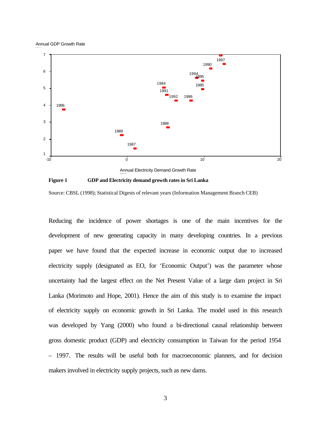Annual GDP Growth Rate



**Figure 1 GDP and Electricity demand growth rates in Sri Lanka**

Source: CBSL (1998); Statistical Digests of relevant years (Information Management Branch CEB)

Reducing the incidence of power shortages is one of the main incentives for the development of new generating capacity in many developing countries. In a previous paper we have found that the expected increase in economic output due to increased electricity supply (designated as EO, for 'Economic Output') was the parameter whose uncertainty had the largest effect on the Net Present Value of a large dam project in Sri Lanka (Morimoto and Hope, 2001). Hence the aim of this study is to examine the impact of electricity supply on economic growth in Sri Lanka. The model used in this research was developed by Yang (2000) who found a bi-directional causal relationship between gross domestic product (GDP) and electricity consumption in Taiwan for the period 1954 – 1997. The results will be useful both for macroeconomic planners, and for decision makers involved in electricity supply projects, such as new dams.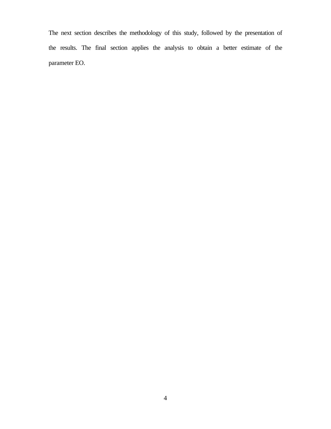The next section describes the methodology of this study, followed by the presentation of the results. The final section applies the analysis to obtain a better estimate of the parameter EO.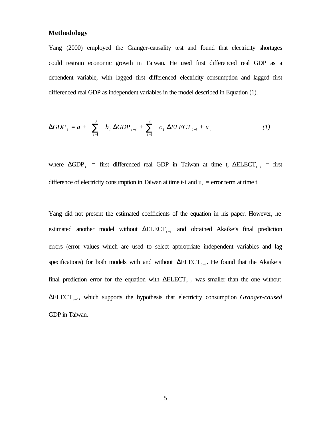#### **Methodology**

Yang (2000) employed the Granger-causality test and found that electricity shortages could restrain economic growth in Taiwan. He used first differenced real GDP as a dependent variable, with lagged first differenced electricity consumption and lagged first differenced real GDP as independent variables in the model described in Equation (1).

**DGDP**<sub>t</sub> = a + 
$$
\sum_{i=1}^{3}
$$
 b<sub>i</sub> **DGDP**<sub>t-i</sub> +  $\sum_{i=1}^{2}$  c<sub>i</sub> **DELECT**<sub>t-i</sub> + u<sub>t</sub> (1)

where  $\Delta GDP_t$  = first differenced real GDP in Taiwan at time t,  $\Delta ELECT_{t-i}$  = first difference of electricity consumption in Taiwan at time t-i and  $u_t$  = error term at time t.

Yang did not present the estimated coefficients of the equation in his paper. However, he estimated another model without ΔELECT<sub>*t*-*i*</sub> and obtained Akaike's final prediction errors (error values which are used to select appropriate independent variables and lag specifications) for both models with and without  $\Delta ELECT$ <sub>*t*-*i*</sub>. He found that the Akaike's final prediction error for the equation with  $\Delta E L E C T_{t-i}$  was smaller than the one without ΔELECT*<sup>t</sup>* <sup>−</sup>*<sup>i</sup>* , which supports the hypothesis that electricity consumption *Granger-caused* GDP in Taiwan.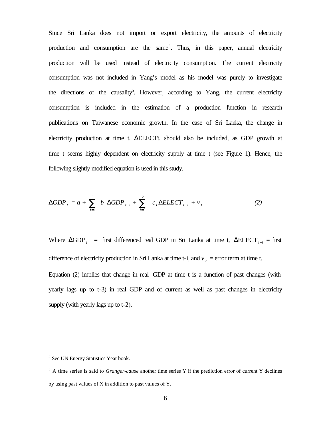Since Sri Lanka does not import or export electricity, the amounts of electricity production and consumption are the same<sup>4</sup>. Thus, in this paper, annual electricity production will be used instead of electricity consumption. The current electricity consumption was not included in Yang's model as his model was purely to investigate the directions of the causality<sup>5</sup>. However, according to Yang, the current electricity consumption is included in the estimation of a production function in research publications on Taiwanese economic growth. In the case of Sri Lanka, the change in electricity production at time t, ΔELECTt, should also be included, as GDP growth at time t seems highly dependent on electricity supply at time t (see Figure 1). Hence, the following slightly modified equation is used in this study.

**DGDP**<sub>t</sub> = a + 
$$
\sum_{i=1}^{3}
$$
 b<sub>i</sub> **DGDP**<sub>t-i</sub> +  $\sum_{i=0}^{2}$  c<sub>i</sub> **DELECT**<sub>t-i</sub> + v<sub>t</sub> (2)

Where  $\triangle GDP_t$  = first differenced real GDP in Sri Lanka at time t,  $\triangle ELECT_{t-i}$  = first difference of electricity production in Sri Lanka at time t-i, and  $v_t$  = error term at time t. Equation (2) implies that change in real GDP at time t is a function of past changes (with yearly lags up to t-3) in real GDP and of current as well as past changes in electricity supply (with yearly lags up to t-2).

<sup>&</sup>lt;sup>4</sup> See UN Energy Statistics Year book.

<sup>&</sup>lt;sup>5</sup> A time series is said to *Granger-cause* another time series Y if the prediction error of current Y declines by using past values of X in addition to past values of Y.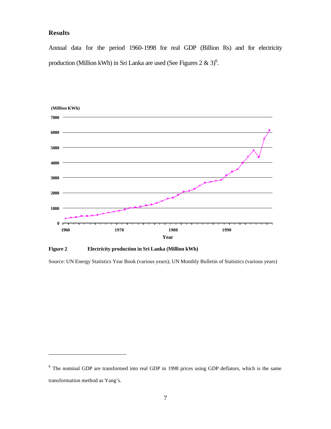#### **Results**

 $\overline{a}$ 

Annual data for the period 1960-1998 for real GDP (Billion Rs) and for electricity production (Million kWh) in Sri Lanka are used (See Figures 2 & 3)<sup>6</sup>.



**Figure 2 Electricity production in Sri Lanka (Million kWh)**

Source: UN Energy Statistics Year Book (various years); UN Monthly Bulletin of Statistics (various years)

<sup>&</sup>lt;sup>6</sup> The nominal GDP are transformed into real GDP in 1998 prices using GDP deflators, which is the same transformation method as Yang's.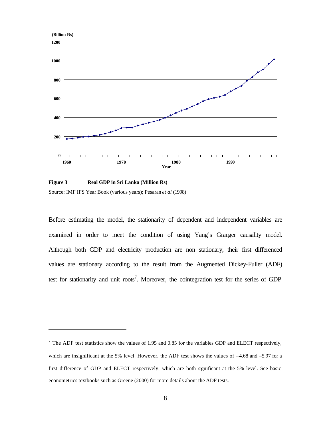

**Figure 3 Real GDP in Sri Lanka (Million Rs)**

 $\overline{a}$ 

Source: IMF IFS Year Book (various years); Pesaran *et al* (1998)

Before estimating the model, the stationarity of dependent and independent variables are examined in order to meet the condition of using Yang's Granger causality model. Although both GDP and electricity production are non stationary, their first differenced values are stationary according to the result from the Augmented Dickey-Fuller (ADF) test for stationarity and unit roots<sup>7</sup>. Moreover, the cointegration test for the series of GDP

<sup>&</sup>lt;sup>7</sup> The ADF test statistics show the values of 1.95 and 0.85 for the variables GDP and ELECT respectively, which are insignificant at the 5% level. However, the ADF test shows the values of  $-4.68$  and  $-5.97$  for a first difference of GDP and ELECT respectively, which are both significant at the 5% level. See basic econometrics textbooks such as Greene (2000) for more details about the ADF tests.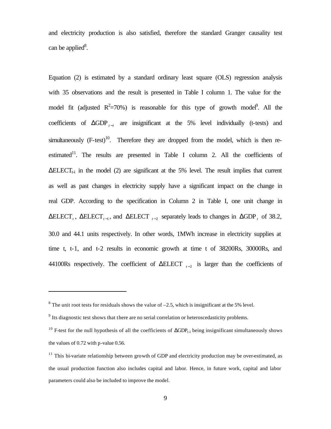and electricity production is also satisfied, therefore the standard Granger causality test can be applied<sup>8</sup>.

Equation (2) is estimated by a standard ordinary least square (OLS) regression analysis with 35 observations and the result is presented in Table I column 1. The value for the model fit (adjusted  $R^2 = 70\%$ ) is reasonable for this type of growth model<sup>9</sup>. All the coefficients of  $\triangle GDP$ <sub>t-i</sub> are insignificant at the 5% level individually (t-tests) and simultaneously  $(F-test)^{10}$ . Therefore they are dropped from the model, which is then reestimated<sup>11</sup>. The results are presented in Table I column 2. All the coefficients of  $\Delta E L E C T_{t-i}$  in the model (2) are significant at the 5% level. The result implies that current as well as past changes in electricity supply have a significant impact on the change in real GDP. According to the specification in Column 2 in Table I, one unit change in  $\Delta$ ELECT<sub>*t*</sub></sub>,  $\Delta$ ELECT<sub>*t*-1</sub>, and  $\Delta$ ELECT<sub>*t*-2</sub> separately leads to changes in  $\Delta$ GDP<sub>*t*</sub> of 38.2, 30.0 and 44.1 units respectively. In other words, 1MWh increase in electricity supplies at time t, t-1, and t-2 results in economic growth at time t of 38200Rs, 30000Rs, and 44100Rs respectively. The coefficient of  $\triangle ELECT$  <sub>*t*-2</sub> is larger than the coefficients of

 $8$  The unit root tests for residuals shows the value of  $-2.5$ , which is insignificant at the 5% level.

 $9<sup>9</sup>$  Its diagnostic test shows that there are no serial correlation or heteroscedasticity problems.

<sup>&</sup>lt;sup>10</sup> F-test for the null hypothesis of all the coefficients of  $\Delta GDP_{t-i}$  being insignificant simultaneously shows the values of 0.72 with p-value 0.56.

 $11$  This bi-variate relationship between growth of GDP and electricity production may be over-estimated, as the usual production function also includes capital and labor. Hence, in future work, capital and labor parameters could also be included to improve the model.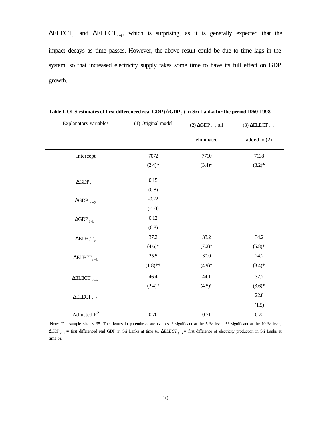$\Delta ELECT$ <sub>t</sub> and  $\Delta ELECT$ <sub>t-1</sub>, which is surprising, as it is generally expected that the impact decays as time passes. However, the above result could be due to time lags in the system, so that increased electricity supply takes some time to have its full effect on GDP growth.

| <b>Explanatory variables</b>     | (1) Original model | $(2) \triangle GDP_{t-i}$ all | (3) $\triangle ELECT_{t-3}$ |
|----------------------------------|--------------------|-------------------------------|-----------------------------|
|                                  |                    | eliminated                    | added to $(2)$              |
| Intercept                        | 7072               | 7710                          | 7138                        |
|                                  | $(2.4)$ *          | $(3.4)*$                      | $(3.2)*$                    |
| $\Delta\text{GDP}_{t-1}$         | 0.15               |                               |                             |
|                                  | (0.8)              |                               |                             |
| $\triangle$ GDP $_{t-2}$         | $-0.22$            |                               |                             |
|                                  | $(-1.0)$           |                               |                             |
| $\triangle$ GDP <sub>t-3</sub>   | $0.12\,$           |                               |                             |
|                                  | (0.8)              |                               |                             |
| $\triangle ELECT_t$              | 37.2               | 38.2                          | 34.2                        |
|                                  | $(4.6)*$           | $(7.2)$ *                     | $(5.8)*$                    |
| $\triangle$ ELECT <sub>t-1</sub> | 25.5               | $30.0\,$                      | 24.2                        |
|                                  | $(1.8)$ **         | $(4.9)*$                      | $(3.4)*$                    |
| $\triangle$ ELECT <sub>t-2</sub> | 46.4               | 44.1                          | 37.7                        |
|                                  | $(2.4)$ *          | $(4.5)*$                      | $(3.6)*$                    |
| $\triangle ELECT_{t-3}$          |                    |                               | 22.0                        |
|                                  |                    |                               | (1.5)                       |
| Adjusted $R^2$                   | $0.70\,$           | 0.71                          | $0.72\,$                    |

**Table I. OLS estimates of first differenced real GDP (DGDP***<sup>t</sup>* **) in Sri Lanka for the period 1960-1998** 

Note: The sample size is 35. The figures in parenthesis are t-values. \* significant at the 5 % level; \*\* significant at the 10 % level;  $ΔGDP<sub>t−i</sub>$  = first differenced real GDP in Sri Lanka at time ti, *DELECT*<sub>t−i</sub> = first difference of electricity production in Sri Lanka at time t-i.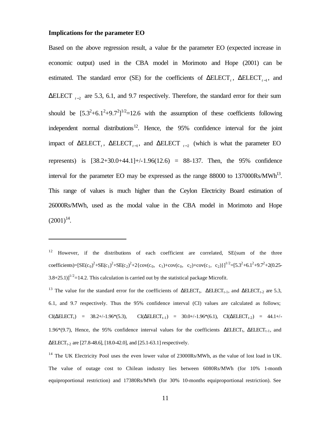#### **Implications for the parameter EO**

 $\overline{a}$ 

Based on the above regression result, a value for the parameter EO (expected increase in economic output) used in the CBA model in Morimoto and Hope (2001) can be estimated. The standard error (SE) for the coefficients of  $\Delta ELECT$ <sub>t</sub>,  $\Delta ELECT$ <sub>t-1</sub>, and  $\Delta$ ELECT  $_{t=2}$  are 5.3, 6.1, and 9.7 respectively. Therefore, the standard error for their sum should be  $[5.3^2+6.1^2+9.7^2]^{1/2}=12.6$  with the assumption of these coefficients following independent normal distributions<sup>12</sup>. Hence, the  $95\%$  confidence interval for the joint impact of  $\Delta ELECT$ ,  $\Delta ELECT$ <sub>t-1</sub>, and  $\Delta ELECT$ <sub>t-2</sub> (which is what the parameter EO represents) is  $[38.2+30.0+44.1]+(-1.96(12.6) = 88-137$ . Then, the 95% confidence interval for the parameter EO may be expressed as the range  $88000$  to  $137000Rs/MWh^{13}$ . This range of values is much higher than the Ceylon Electricity Board estimation of 26000Rs/MWh, used as the modal value in the CBA model in Morimoto and Hope  $(2001)^{14}$ .

<sup>&</sup>lt;sup>12</sup> However, if the distributions of each coefficient are correlated,  $SE(\text{sum of the three})$ coefficients)= $[SE(c_0)^2 + SE(c_1)^2 + SE(c_2)^2 + 2\{cov(c_0, c_1) + cov(c_0, c_2) + cov(c_1, c_2)\}]^{1/2} = [5.3^2 + 6.1^2 + 9.7^2 + 2(0.25 - 1.2^2)]$  $3.8+25.1$ ]<sup>1/2</sup>=14.2. This calculation is carried out by the statistical package Microfit.

<sup>&</sup>lt;sup>13</sup> The value for the standard error for the coefficients of  $\triangle ELECT_t$ ,  $\triangle ELECT_{t-1}$ , and  $\triangle ELECT_{t-2}$  are 5.3, 6.1, and 9.7 respectively. Thus the 95% confidence interval (CI) values are calculated as follows;  $CI(\Delta ELECT_1)$  = 38.2+/-1.96\*(5.3),  $CI(\Delta ELECT_{t-1})$  = 30.0+/-1.96\*(6.1),  $CI(\Delta ELECT_{t-2})$  = 44.1+/-1.96\*(9.7), Hence, the 95% confidence interval values for the coefficients  $\Delta E L E C T_t$ ,  $\Delta E L E C T_{t-1}$ , and  $\Delta$ ELECT<sub>t-2</sub> are [27.8-48.6], [18.0-42.0], and [25.1-63.1] respectively.

<sup>&</sup>lt;sup>14</sup> The UK Electricity Pool uses the even lower value of 23000Rs/MWh, as the value of lost load in UK. The value of outage cost to Chilean industry lies between 6080Rs/MWh (for 10% 1-month equiproportional restriction) and 17380Rs/MWh (for 30% 10-months equiproportional restriction). See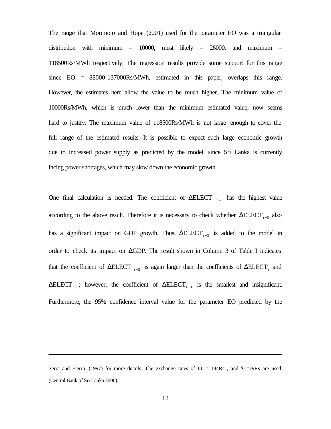The range that Morimoto and Hope (2001) used for the parameter EO was a triangular distribution with minimum  $= 10000$ , most likely  $= 26000$ , and maximum  $=$ 118500Rs/MWh respectively. The regression results provide some support for this range since EO = 88000-137000Rs/MWh, estimated in this paper, overlaps this range. However, the estimates here allow the value to be much higher. The minimum value of 10000Rs/MWh, which is much lower than the minimum estimated value, now seems hard to justify. The maximum value of 118500Rs/MWh is not large enough to cover the full range of the estimated results. It is possible to expect such large economic growth due to increased power supply as predicted by the model, since Sri Lanka is currently facing power shortages, which may slow down the economic growth.

One final calculation is needed. The coefficient of  $\triangle ELECT$   $_{t-2}$  has the highest value according to the above result. Therefore it is necessary to check whether  $\Delta ELECT_{t-3}$  also has a significant impact on GDP growth. Thus,  $\Delta ELECT_{t-3}$  is added to the model in order to check its impact on  $\Delta$ GDP. The result shown in Column 3 of Table I indicates that the coefficient of  $\Delta ELECT$ <sub>*t*-2</sub> is again larger than the coefficients of  $\Delta ELECT$ <sub>*t*</sub> and  $\Delta ELECT_{t-1}$ ; however, the coefficient of  $\Delta ELECT_{t-3}$  is the smallest and insignificant. Furthermore, the 95% confidence interval value for the parameter EO predicted by the

Serra and Fierro (1997) for more details. The exchange rates of  $£1 = 184Rs$ , and  $$1=79Rs$  are used (Central Bank of Sri Lanka 2000).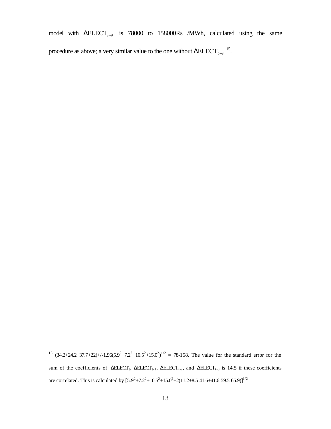model with  $\triangle ELECT_{t-3}$  is 78000 to 158000Rs /MWh, calculated using the same procedure as above; a very similar value to the one without  $\Delta E L E C T_{t-3}$ <sup>15</sup>.

<sup>&</sup>lt;sup>15</sup>  $(34.2+24.2+37.7+22)+/-1.96(5.9^2+7.2^2+10.5^2+15.0^2)^{1/2} = 78-158$ . The value for the standard error for the sum of the coefficients of  $\triangle ELECT_t$ ,  $\triangle ELECT_{t-1}$ ,  $\triangle ELECT_{t-2}$ , and  $\triangle ELECT_{t-3}$  is 14.5 if these coefficients are correlated. This is calculated by  $[5.9^2 + 7.2^2 + 10.5^2 + 15.0^2 + 2(11.2 + 8.5 - 41.6 + 41.6 - 59.5 - 65.9)]^{1/2}$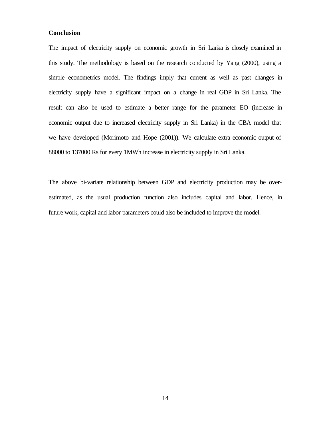#### **Conclusion**

The impact of electricity supply on economic growth in Sri Lanka is closely examined in this study. The methodology is based on the research conducted by Yang (2000), using a simple econometrics model. The findings imply that current as well as past changes in electricity supply have a significant impact on a change in real GDP in Sri Lanka. The result can also be used to estimate a better range for the parameter EO (increase in economic output due to increased electricity supply in Sri Lanka) in the CBA model that we have developed (Morimoto and Hope (2001)). We calculate extra economic output of 88000 to 137000 Rs for every 1MWh increase in electricity supply in Sri Lanka.

The above bi-variate relationship between GDP and electricity production may be overestimated, as the usual production function also includes capital and labor. Hence, in future work, capital and labor parameters could also be included to improve the model.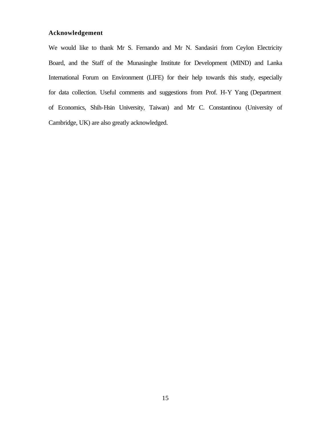#### **Acknowledgement**

We would like to thank Mr S. Fernando and Mr N. Sandasiri from Ceylon Electricity Board, and the Staff of the Munasinghe Institute for Development (MIND) and Lanka International Forum on Environment (LIFE) for their help towards this study, especially for data collection. Useful comments and suggestions from Prof. H-Y Yang (Department of Economics, Shih-Hsin University, Taiwan) and Mr C. Constantinou (University of Cambridge, UK) are also greatly acknowledged.